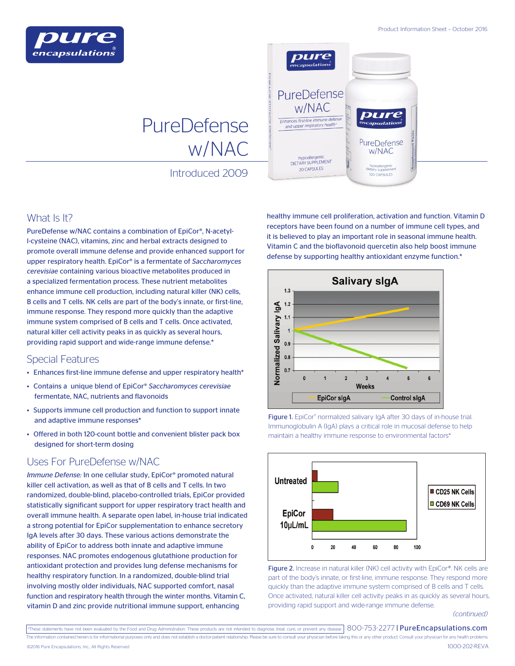

# PureDefense w/NAC

Introduced 2009

## What Is It?

PureDefense w/NAC contains a combination of EpiCor®, N-acetyll-cysteine (NAC), vitamins, zinc and herbal extracts designed to promote overall immune defense and provide enhanced support for upper respiratory health. EpiCor® is a fermentate of *Saccharomyces cerevisiae* containing various bioactive metabolites produced in a specialized fermentation process. These nutrient metabolites enhance immune cell production, including natural killer (NK) cells, B cells and T cells. NK cells are part of the body's innate, or first-line, immune response. They respond more quickly than the adaptive immune system comprised of B cells and T cells. Once activated, natural killer cell activity peaks in as quickly as several hours, providing rapid support and wide-range immune defense.\*

## Special Features

- Enhances first-line immune defense and upper respiratory health\*
- Contains a unique blend of EpiCor® *Saccharomyces cerevisiae* fermentate, NAC, nutrients and flavonoids
- Supports immune cell production and function to support innate and adaptive immune responses\*
- Offered in both 120-count bottle and convenient blister pack box designed for short-term dosing

## Uses For PureDefense w/NAC

*Immune Defense:* In one cellular study, EpiCor® promoted natural killer cell activation, as well as that of B cells and T cells. In two randomized, double-blind, placebo-controlled trials, EpiCor provided statistically significant support for upper respiratory tract health and overall immune health. A separate open label, in-house trial indicated a strong potential for EpiCor supplementation to enhance secretory IgA levels after 30 days. These various actions demonstrate the ability of EpiCor to address both innate and adaptive immune responses. NAC promotes endogenous glutathione production for antioxidant protection and provides lung defense mechanisms for healthy respiratory function. In a randomized, double-blind trial involving mostly older individuals, NAC supported comfort, nasal function and respiratory health through the winter months. Vitamin C, vitamin D and zinc provide nutritional immune support, enhancing



healthy immune cell proliferation, activation and function. Vitamin D receptors have been found on a number of immune cell types, and it is believed to play an important role in seasonal immune health. Vitamin C and the bioflavonoid quercetin also help boost immune defense by supporting healthy antioxidant enzyme function.\*



Figure 1. EpiCor® normalized salivary IgA after 30 days of in-house trial. Immunoglobulin A (IgA) plays a critical role in mucosal defense to help maintain a healthy immune response to environmental factors\*



Figure 2. Increase in natural killer (NK) cell activity with EpiCor®. NK cells are part of the body's innate, or first-line, immune response. They respond more quickly than the adaptive immune system comprised of B cells and T cells. Once activated, natural killer cell activity peaks in as quickly as several hours, providing rapid support and wide-range immune defense.

*(continued)*

\*These statements have not been evaluated by the Food and Drug Administration. These products are not intended to diagnose, treat, cure, or prevent any disease.  $800$ -753-2277 | PureEncapsulations.com The information contained herein is for informational purposes only and does not establish a doctor-patient relationship. Please be sure to consult your physician before taking this or any other product. Consult your physi 1000-202-REVA ©2016 Pure Encapsulations, Inc., All Rights Reserved